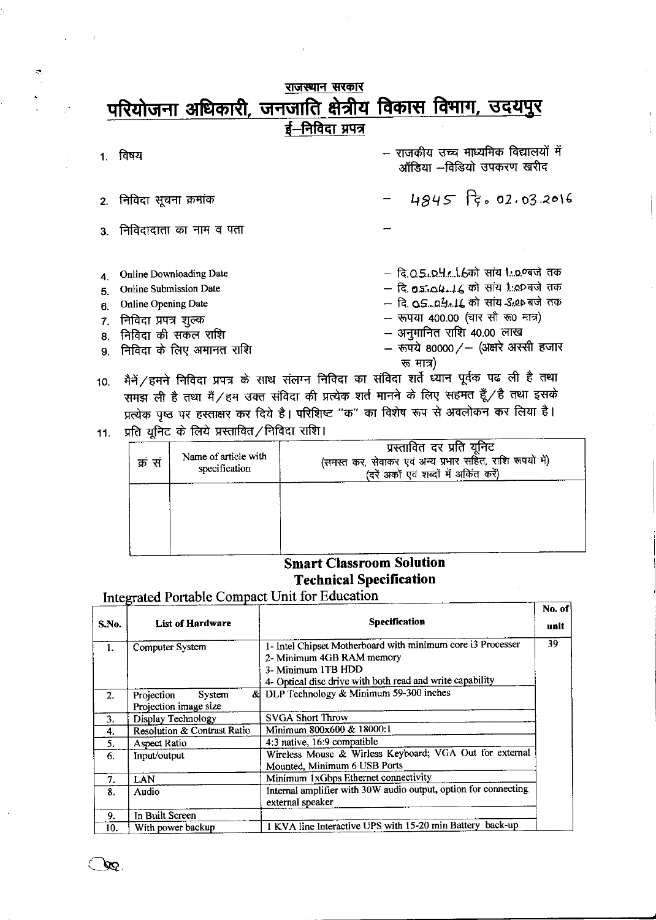## राजस्थान सरकार परियोजना अधिकारी, जनजाति क्षेत्रीय विकास विभाग, उदयपुर ई-निविदा प्रपत्र

1. विषय

 $2.$ 

 $\infty$ 

 $\mathbf{a}$ 

- राजकीय उच्च माध्यमिक विद्यालयों में ऑडिया --विडियो उपकरण खरीद

- निविदा सूचना क्रमांक
- निविदादाता का नाम व पता 3
- **Online Downloading Date** 4.
- **Online Submission Date** 5.
- Online Opening Date 6.
- निविदा प्रपत्र शुल्क 7.
- निविदा की सकल राशि 8.
- निविदा के लिए अमानत राशि 9.
- 
- $4845$   $\frac{1}{5}$ , 02, 03.2016
- दि.0.5.0.4.4.1.6को सांय 1.0.0बजे तक
- दि. **05.104.16** को सांय 1:00 बजे तक
- 
- रूपया 400.00 (चार सौ रू0 मात्र)
- अनुमानित राशि 40.00 लाख
- रूपये 80000/- (अक्षरे अस्सी हजार रू मात्र)
- मैनें / हमने निविदा प्रपत्र के साथ संलग्न निविदा का संविदा शर्ते ध्यान पूर्वक पढ ली है तथा  $10.$ समझ ली है तथा मैं/हम उक्त संविदा की प्रत्येक शर्त मानने के लिए सहमत हूँ/है तथा इसके प्रत्येक पृष्ठ पर हस्ताक्षर कर दिये है। परिशिष्ट "क" का विशेष रूप से अवलोकन कर लिया है।
- 11. प्रति यूनिट के लिये प्रस्तावित/निविदा राशि।

| क्र सं | Name of article with<br>specification | प्रस्तावित दर प्रति यूनिट<br>(समस्त कर, सेवाकर एवं अन्य प्रभार सहित, राशि रूपयों में)<br>(दरें अकों एवं शब्दों में अकित करें) |
|--------|---------------------------------------|-------------------------------------------------------------------------------------------------------------------------------|
|        |                                       |                                                                                                                               |
|        |                                       |                                                                                                                               |

## **Smart Classroom Solution Technical Specification**

Integrated Portable Compact Unit for Education

| S.No. | <b>List of Hardware</b>                              | Specification                                                                                                                                                               | No. of<br>unit |
|-------|------------------------------------------------------|-----------------------------------------------------------------------------------------------------------------------------------------------------------------------------|----------------|
| 1.    | Computer System                                      | 1- Intel Chipset Motherboard with minimum core i3 Processer<br>2- Minimum 4GB RAM memory<br>3- Minimum 1TB HDD<br>4- Optical disc drive with both read and write capability | 39             |
| 2.    | Projection<br><b>System</b><br>Projection image size | & DLP Technology & Minimum 59-300 inches                                                                                                                                    |                |
| 3.    | Display Technology                                   | <b>SVGA Short Throw</b>                                                                                                                                                     |                |
| 4.    | Resolution & Contrast Ratio                          | Minimum 800x600 & 18000:1                                                                                                                                                   |                |
| 5.    | Aspect Ratio                                         | 4:3 native, 16:9 compatible                                                                                                                                                 |                |
| 6.    | Input/output                                         | Wireless Mouse & Wirless Keyboard; VGA Out for external<br>Mounted, Minimum 6 USB Ports                                                                                     |                |
| 7.    | <b>LAN</b>                                           | Minimum 1xGbps Ethernet connectivity                                                                                                                                        |                |
| 8.    | Audio                                                | Internal amplifier with 30W audio output, option for connecting<br>external speaker                                                                                         |                |
| 9.    | In Built Screen                                      |                                                                                                                                                                             |                |
| 10.   | With power backup                                    | 1 KVA line Interactive UPS with 15-20 min Battery back-up                                                                                                                   |                |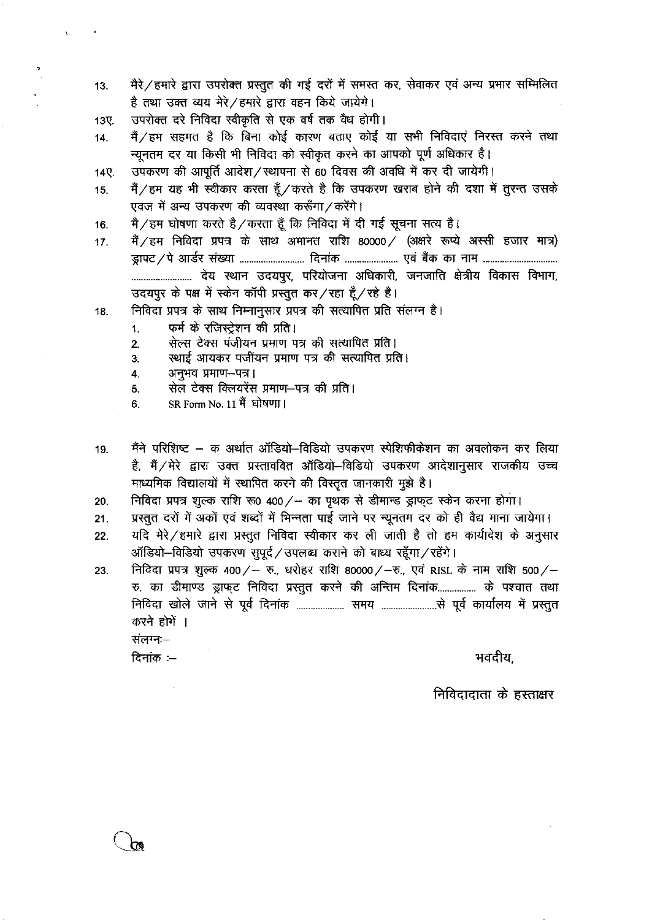- मैरे / हमारे द्वारा उपरोक्त प्रस्तुत की गई दरों में समस्त कर, सेवाकर एवं अन्य प्रभार सम्मिलित  $13.$ है तथा उक्त व्यय मेरे/हमारे द्वारा वहन किये जायेगे।
- उपरोक्त दरे निविदा स्वीकृति से एक वर्ष तक वैध होगी। 13期

 $\bar{\mathbf{y}}$ 

- मैं / हम सहमत है कि बिना कोई कारण बताए कोई या सभी निविदाएं निरस्त करने तथा  $14.$ न्यनतम दर या किसी भी निविदा को स्वीकृत करने का आपको पूर्ण अधिकार है।
- उपकरण की आपूर्ति आदेश/स्थापना से 60 दिवस की अवधि में कर दी जायेगी। 14尺
- मैं / हम यह भी स्वीकार करता हैं / करते है कि उपकरण खराब होने की दशा में तूरन्त उसके  $15.$ एवज़ में अन्य उपकरण की व्यवस्था करूँगा / करेंगे।
- मै/हम घोषणा करते है/करता हूँ कि निविदा में दी गई सूचना सत्य है। 16.
- मैं / हम निविदा प्रपत्र के साथ अमानत राशि 80000 / (अक्षरे रूप्ये अस्सी हजार मात्र)  $17.$ उदयपुर के पक्ष में स्केन कॉपी प्रस्तुत कर/रहा हूँ/रहे है।
- निविदा प्रपत्र के साथ निम्नानुसार प्रपत्र की सत्यापित प्रति संलग्न है। 18.
	- फर्म के रजिस्ट्रेशन की प्रति।  $1.$
	- सेल्स टेक्स पंजीयन प्रमाण पत्र की सत्यापित प्रति।  $2.$
	- स्थाई आयकर पजींयन प्रमाण पत्र की सत्यापित प्रति।  $3<sub>1</sub>$
	- $\overline{4}$ अनुभव प्रमाण-पत्र।
	- सेल टेक्स क्लियरेंस प्रमाण-पत्र की प्रति। 5.
	- SR Form No. 11 मैं घोषणा। 6.
- मैंने परिशिष्ट क अर्थात ऑडियो-विडियो उपकरण स्पेशिफीकेशन का अवलोकन कर लिया 19. है, मैं/मेरे द्वारा उक्त प्रस्ताववित ऑडियो–विडियो उपकरण आदेशानुसार राजकीय उच्च माध्यमिक विद्यालयों में स्थापित करने की विस्तृत जानकारी मुझे है।
- निविदा प्रपत्र शुल्क राशि रू0 400 / का पृथक से डीमान्ड ड्राफ्ट स्केन करना होगा। 20.
- प्रस्तुत दरों में अकों एवं शब्दों में भिन्नता पाई जाने पर न्यूनतम दर को ही वैद्य माना जायेगा।  $21.$
- यदि मेरे / हमारे द्वारा प्रस्तूत निविदा स्वीकार कर ली जाती है तो हम कार्यादेश के अनुसार  $22.$ ऑडियो-विडियो उपकरण सुपूर्द / उपलब्ध कराने को बाध्य रहँगा / रहेंगे।

निविदा प्रपत्र शुल्क 400/- रु., धरोहर राशि 80000/-रु., एवं RISL के नाम राशि 500/-23. रु. का डीमाण्ड ड्राफ्ट निविदा प्रस्तुत करने की अन्तिम दिनांक................ के पश्चात तथा करने होगें ।

संलग्न:-दिनांक $=$ 

भवदीय.

निविदादाता के हस्ताक्षर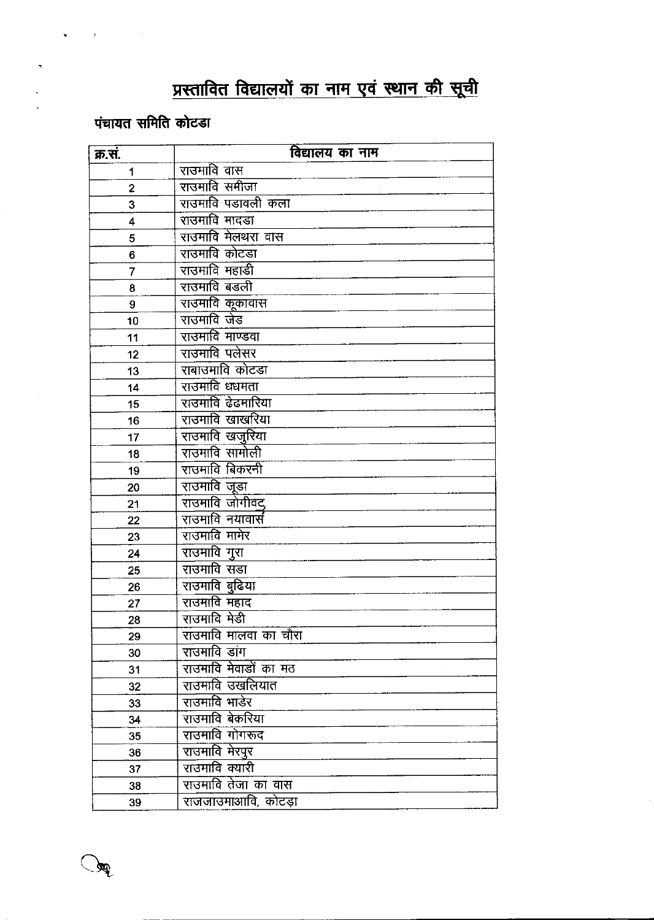# प्रस्तावित विद्यालयों का नाम एवं स्थान की सूची

# पंचायत समिति कोटडा

 $\mathfrak{B}$ 

| क्र.स. | विद्यालय का नाम       |
|--------|-----------------------|
| 1      | राउमावि वास           |
| 2      | राउमावि समीजा         |
| 3      | राउमावि पडावली कला    |
| 4      | राउमावि मादडा         |
| 5      | राउमावि मेलथरा वास    |
| 6      | राउमावि कोटडा         |
| 7      | राउमावि महाडी         |
| 8      | राउमावि बडली          |
| 9      | राउमावि कूकावास       |
| 10     | राउमावि जेड           |
| 11     | राउमावि माण्डवा       |
| 12     | राउमावि पलेसर         |
| 13     | राबाउँमावि कोटडा      |
| 14     | राउमावि धधमता         |
| 15     | राउमावि ढेढमारिया     |
| 16     | राउमावि खाखरिया       |
| 17     | राउमावि खजुरिया       |
| 18     | राउमावि सामोली        |
| 19     | राउमावि बिकरनी        |
| 20     | राउमावि जूडा          |
| 21     | राउमावि जोगीवद        |
| 22     | राउमावि नयावार्स      |
| 23     | राउमावि मामेर         |
| 24     | राउमावि गुरा          |
| 25     | राउमावि सडा           |
| 26     | राउमावि बुढिया        |
| 27     | राउमावि महाद          |
| 28     | राउमावि मेडी          |
| 29     | राउमावि मालवा का चौरा |
| 30     | राउमावि डांग          |
| 31     | राउमावि मेवाडों का मठ |
| 32     | राउमावि उखलियात       |
| 33     | राउमावि भाडेर         |
| 34     | राउमावि बेकरिया       |
| 35     | <u>राउमावि गोगरूद</u> |
| 36     | राउमावि मेरपुर        |
| 37     | राउमावि क्यारी        |
| 38     | राउमावि तेजा का वास   |
| 39     | राजजाउमाआवि, कोटड़ा   |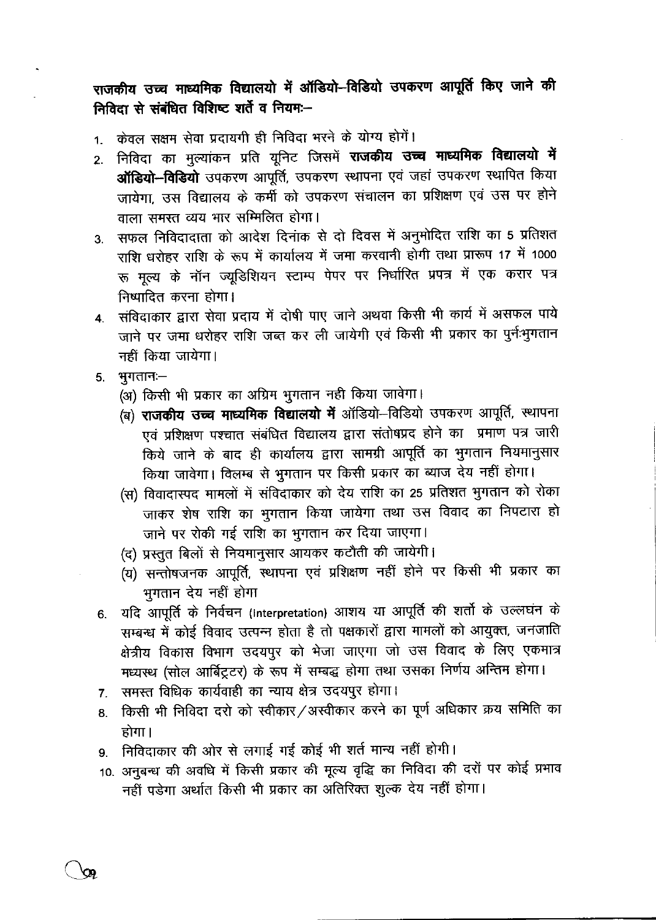राजकीय उच्च माध्यमिक विद्यालयो में ऑडियो-विडियो उपकरण आपूर्ति किए जाने की निविदा से संबंधित विशिष्ट शर्ते व नियम:--

- केवल सक्षम सेवा प्रदायगी ही निविदा भरने के योग्य होगें।  $\ddot{\mathbf{1}}$
- निविदा का मुल्यांकन प्रति यूनिट जिसमें **राजकीय उच्च माध्यमिक विद्यालयो में**  $2<sup>2</sup>$ ऑडियो-विडियो उपकरण आपूर्ति, उपकरण स्थापना एवं जहां उपकरण स्थापित किया जायेगा, उस विद्यालय के कर्मी को उपकरण संचालन का प्रशिक्षण एवं उस पर होने वाला समस्त व्यय भार सम्मिलित होगा।
- सफल निविदादाता को आदेश दिनांक से दो दिवस में अनुमोदित राशि का 5 प्रतिशत  $3<sub>1</sub>$ राशि धरोहर राशि के रूप में कार्यालय में जमा करवानी होगी तथा प्रारूप 17 में 1000 रू मूल्य के नॉन ज्यूडिशियन स्टाम्प पेपर पर निर्धारित प्रपत्र में एक करार पत्र निष्पादित करना होगा।
- 4. संविदाकार द्वारा सेवा प्रदाय में दोषी पाए जाने अथवा किसी भी कार्य में असफल पाये जाने पर जमा धरोहर राशि जब्त कर ली जायेगी एवं किसी भी प्रकार का पुर्नःभुगतान नहीं किया जायेगा।
- $5.$  भुगतान $-$ 
	- (अ) किसी भी प्रकार का अग्रिम भुगतान नही किया जावेगा।
	- (ब) राजकीय उच्च माध्यमिक विद्यालयो में ऑडियो-विडियो उपकरण आपूर्ति, स्थापना एवं प्रशिक्षण पश्चात संबंधित विद्यालय द्वारा संतोषप्रद होने का प्रमाण पत्र जारी किये जाने के बाद ही कार्यालय द्वारा सामग्री आपूर्ति का भुगतान नियमानुसार किया जावेगा। विलम्ब से भुगतान पर किसी प्रकार का ब्याज देय नहीं होगा।
	- (स) विवादास्पद मामलों में संविदाकार को देय राशि का 25 प्रतिशत भुगतान को रोका जाकर शेष राशि का भुगतान किया जायेगा तथा उस विवाद का निपटारा हो जाने पर रोकी गई राशि का भूगतान कर दिया जाएगा।
	- (द) प्रस्तुत बिलों से नियमानूसार आयकर कटौती की जायेगी।
	- (य) सन्तोषजनक आपूर्ति, स्थापना एवं प्रशिक्षण नहीं होने पर किसी भी प्रकार का भुगतान देय नहीं होगा
- यदि आपूर्ति के निर्वचन (Interpretation) आशय या आपूर्ति की शर्तो के उल्लघंन के  $6.$ सम्बन्ध में कोई विवाद उत्पन्न होता है तो पक्षकारों द्वारा मामलों को आयुक्त, जनजाति क्षेत्रीय विकास विभाग उदयपुर को भेजा जाएगा जो उस विवाद के लिए एकमात्र मध्यस्थ (सोल आर्बिट्रटर) के रूप में सम्बद्ध होगा तथा उसका निर्णय अन्तिम होगा।
- 7. समस्त विधिक कार्यवाही का न्याय क्षेत्र उदयपुर होगा।
- किसी भी निविदा दरो को स्वीकार/अस्वीकार करने का पूर्ण अधिकार क्रय समिति का 8. होगा।
- निविदाकार की ओर से लगाई गई कोई भी शर्त मान्य नहीं होगी। 9.
- 10. अनुबन्ध की अवधि में किसी प्रकार की मूल्य वृद्धि का निविदा की दरों पर कोई प्रभाव नहीं पड़ेगा अर्थात किसी भी प्रकार का अतिरिक्त शुल्क देय नहीं होगा।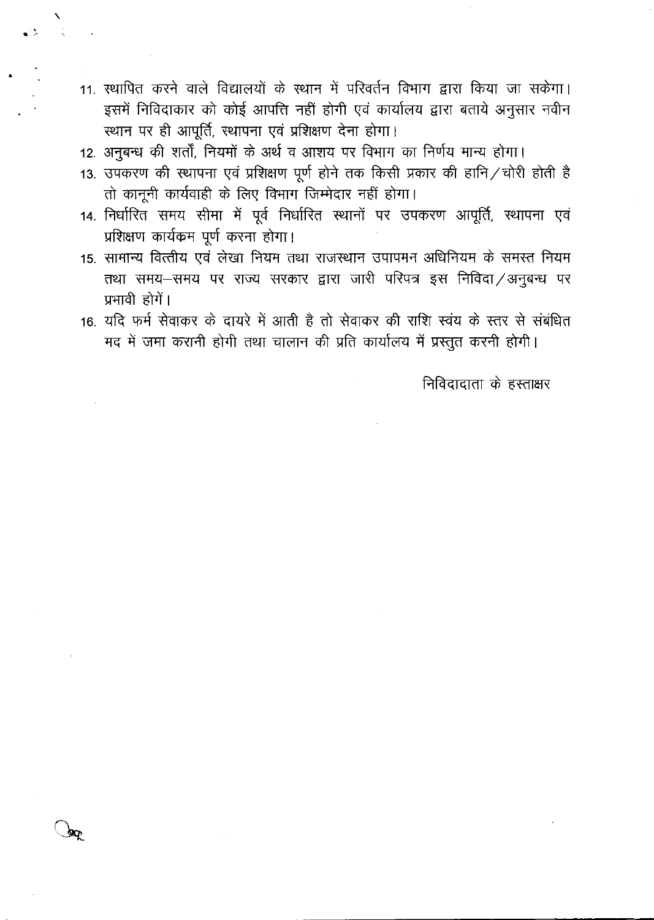- 11. स्थापित करने वाले विद्यालयों के स्थान में परिवर्तन विभाग द्वारा किया जा सकेगा। इसमें निविदाकार को कोई आपत्ति नहीं होगी एवं कार्यालय द्वारा बताये अनुसार नवीन स्थान पर ही आपूर्ति, स्थापना एवं प्रशिक्षण देना होगा।
- 12. अनुबन्ध की शर्तों, नियमों के अर्थ व आशय पर विभाग का निर्णय मान्य होगा।
- 13. उपकरण की स्थापना एवं प्रशिक्षण पूर्ण होने तक किसी प्रकार की हानि / चोरी होती है तो कानूनी कार्यवाही के लिए विभाग जिम्मेदार नहीं होगा।
- 14. निर्धारित समय सीमा में पूर्व निर्धारित स्थानों पर उपकरण आपूर्ति, स्थापना एवं प्रशिक्षण कार्यकम पूर्ण करना होगा।
- 15. सामान्य वित्तीय एवं लेखा नियम तथा राजस्थान उपापमन अधिनियम के समस्त नियम तथा समय-समय पर राज्य सरकार द्वारा जारी परिपत्र इस निविदा/अनुबन्ध पर प्रभावी होगें।
- 16. यदि फर्म सेवाकर के दायरे में आती है तो सेवाकर की राशि स्वंय के स्तर से संबंधित मद में जमा करानी होगी तथा चालान की प्रति कार्यालय में प्रस्तुत करनी होगी।

निविदादाता के हस्ताक्षर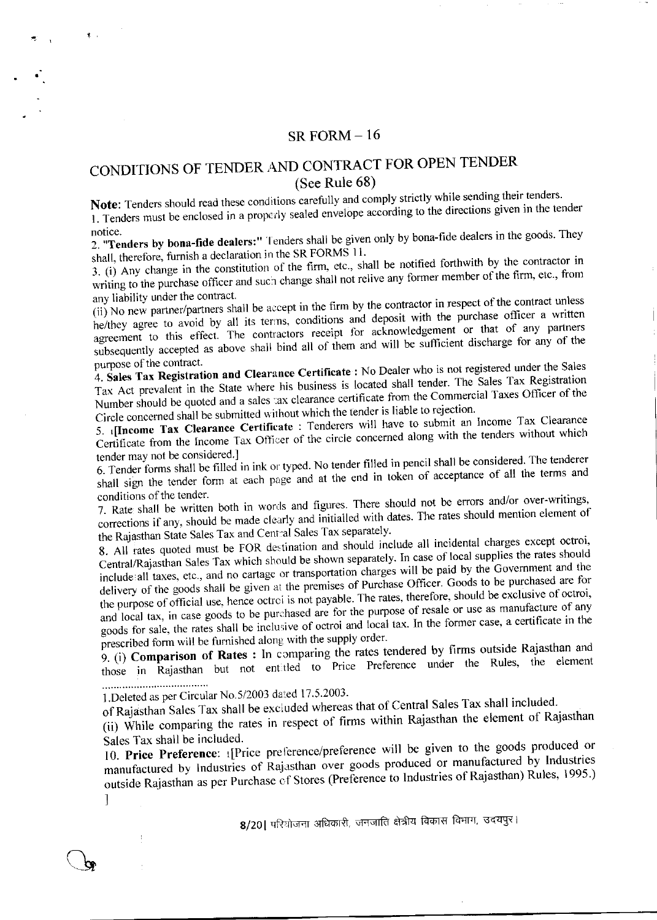### SR FORM  $-16$

## CONDITIONS OF TENDER AND CONTRACT FOR OPEN TENDER (See Rule 68)

Note: Tenders should read these conditions carefully and comply strictly while sending their tenders. 1. Tenders must be enclosed in a properly sealed envelope according to the directions given in the tender notice.

2. "Tenders by bona-fide dealers:" Tenders shall be given only by bona-fide dealers in the goods. They shall, therefore, furnish a declaration in the SR FORMS 11.

3. (i) Any change in the constitution of the firm, etc., shall be notified forthwith by the contractor in writing to the purchase officer and such change shall not relive any former member of the firm, etc., from any liability under the contract.

(ii) No new partner/partners shall be accept in the firm by the contractor in respect of the contract unless he/they agree to avoid by all its terms, conditions and deposit with the purchase officer a written agreement to this effect. The contractors receipt for acknowledgement or that of any partners subsequently accepted as above shall bind all of them and will be sufficient discharge for any of the purpose of the contract.

4. Sales Tax Registration and Clearance Certificate : No Dealer who is not registered under the Sales Tax Act prevalent in the State where his business is located shall tender. The Sales Tax Registration Number should be quoted and a sales tax clearance certificate from the Commercial Taxes Officer of the Circle concerned shall be submitted without which the tender is liable to rejection.

5. [Income Tax Clearance Certificate : Tenderers will have to submit an Income Tax Clearance Certificate from the Income Tax Officer of the circle concerned along with the tenders without which tender may not be considered.]

6. Tender forms shall be filled in ink or typed. No tender filled in pencil shall be considered. The tenderer shall sign the tender form at each page and at the end in token of acceptance of all the terms and conditions of the tender.

7. Rate shall be written both in words and figures. There should not be errors and/or over-writings, corrections if any, should be made clearly and initialled with dates. The rates should mention element of the Rajasthan State Sales Tax and Central Sales Tax separately.

8. All rates quoted must be FOR destination and should include all incidental charges except octroi, Central/Rajasthan Sales Tax which should be shown separately. In case of local supplies the rates should include all taxes, etc., and no cartage or transportation charges will be paid by the Government and the delivery of the goods shall be given at the premises of Purchase Officer. Goods to be purchased are for the purpose of official use, hence octroi is not payable. The rates, therefore, should be exclusive of octroi, and local tax, in case goods to be purchased are for the purpose of resale or use as manufacture of any goods for sale, the rates shall be inclusive of octroi and local tax. In the former case, a certificate in the prescribed form will be furnished along with the supply order.

9. (i) Comparison of Rates : In comparing the rates tendered by firms outside Rajasthan and those in Rajasthan but not entitled to Price Preference under the Rules, the element ...................................

1.Deleted as per Circular No.5/2003 dated 17.5.2003.

of Rajasthan Sales Tax shall be excluded whereas that of Central Sales Tax shall included.

(ii) While comparing the rates in respect of firms within Rajasthan the element of Rajasthan Sales Tax shall be included.

10. Price Preference: 1[Price preference/preference will be given to the goods produced or manufactured by Industries of Rajasthan over goods produced or manufactured by Industries outside Rajasthan as per Purchase ef Stores (Preference to Industries of Rajasthan) Rules, 1995.)

1

 $\pi$ .

8/20| परियोजना अधिकारी, जनजाति क्षेत्रीय विकास विभाग, उदयपुर।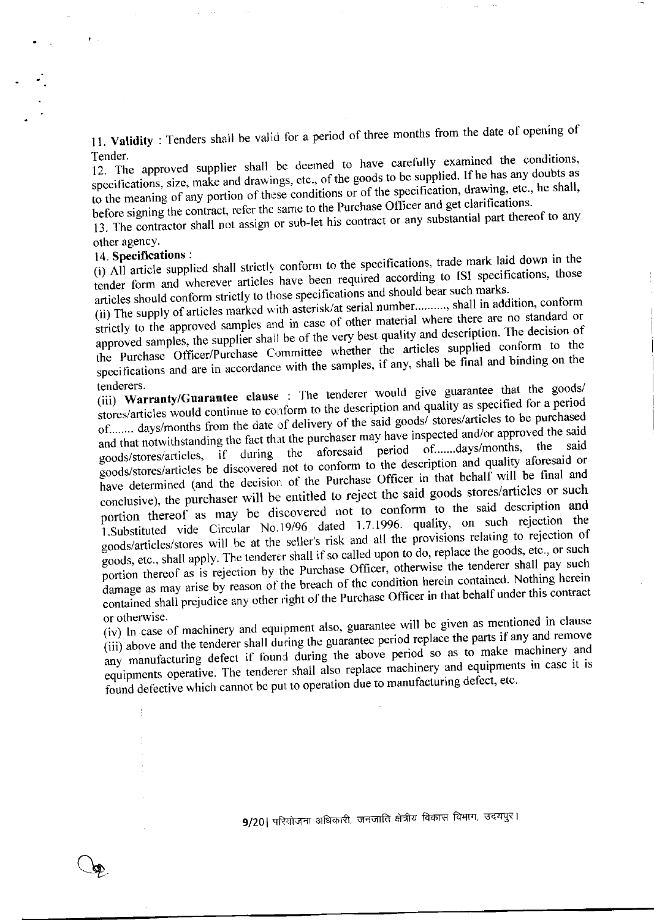11. Validity: Tenders shall be valid for a period of three months from the date of opening of Tender.

12. The approved supplier shall be deemed to have carefully examined the conditions, specifications, size, make and drawings, etc., of the goods to be supplied. If he has any doubts as to the meaning of any portion of these conditions or of the specification, drawing, etc., he shall, before signing the contract, refer the same to the Purchase Officer and get clarifications.

13. The contractor shall not assign or sub-let his contract or any substantial part thereof to any other agency.

## 14. Specifications:

 $\pmb{\Psi} = \pmb{\Psi}$ 

(i) All article supplied shall strictly conform to the specifications, trade mark laid down in the tender form and wherever articles have been required according to ISI specifications, those articles should conform strictly to those specifications and should bear such marks.

(ii) The supply of articles marked with asterisk/at serial number.........., shall in addition, conform strictly to the approved samples and in case of other material where there are no standard or approved samples, the supplier shall be of the very best quality and description. The decision of the Purchase Officer/Purchase Committee whether the articles supplied conform to the specifications and are in accordance with the samples, if any, shall be final and binding on the

(iii) Warranty/Guarantee clause : The tenderer would give guarantee that the goods/ stores/articles would continue to conform to the description and quality as specified for a period of........ days/months from the date of delivery of the said goods/ stores/articles to be purchased and that notwithstanding the fact that the purchaser may have inspected and/or approved the said of.......days/months. the if during the aforesaid period goods/stores/articles, goods/stores/articles be discovered not to conform to the description and quality aforesaid or have determined (and the decision of the Purchase Officer in that behalf will be final and conclusive), the purchaser will be entitled to reject the said goods stores/articles or such portion thereof as may be discovered not to conform to the said description and 1.Substituted vide Circular No.19/96 dated 1.7.1996. quality, on such rejection the goods/articles/stores will be at the seller's risk and all the provisions relating to rejection of goods, etc., shall apply. The tenderer shall if so called upon to do, replace the goods, etc., or such portion thereof as is rejection by the Purchase Officer, otherwise the tenderer shall pay such damage as may arise by reason of the breach of the condition herein contained. Nothing herein contained shall prejudice any other right of the Purchase Officer in that behalf under this contract or otherwise.

(iv) In case of machinery and equipment also, guarantee will be given as mentioned in clause (iii) above and the tenderer shall during the guarantee period replace the parts if any and remove any manufacturing defect if found during the above period so as to make machinery and equipments operative. The tenderer shall also replace machinery and equipments in case it is found defective which cannot be put to operation due to manufacturing defect, etc.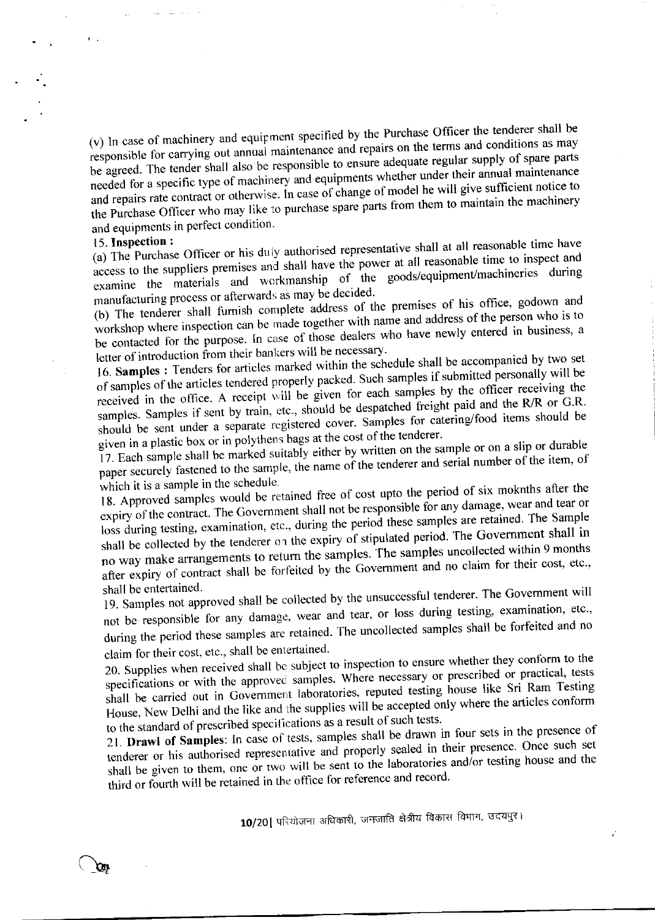(v) In case of machinery and equipment specified by the Purchase Officer the tenderer shall be responsible for carrying out annual maintenance and repairs on the terms and conditions as may be agreed. The tender shall also be responsible to ensure adequate regular supply of spare parts needed for a specific type of machinery and equipments whether under their annual maintenance and repairs rate contract or otherwise. In case of change of model he will give sufficient notice to the Purchase Officer who may like to purchase spare parts from them to maintain the machinery and equipments in perfect condition.

### 15. Inspection:

 $\mathbf{r}$ 

(a) The Purchase Officer or his duly authorised representative shall at all reasonable time have access to the suppliers premises and shall have the power at all reasonable time to inspect and examine the materials and workmanship of the goods/equipment/machineries during manufacturing process or afterwards as may be decided.

(b) The tenderer shall furnish complete address of the premises of his office, godown and workshop where inspection can be made together with name and address of the person who is to be contacted for the purpose. In case of those dealers who have newly entered in business, a letter of introduction from their bankers will be necessary.

16. Samples : Tenders for articles marked within the schedule shall be accompanied by two set of samples of the articles tendered properly packed. Such samples if submitted personally will be received in the office. A receipt will be given for each samples by the officer receiving the samples. Samples if sent by train, etc., should be despatched freight paid and the R/R or G.R. should be sent under a separate registered cover. Samples for catering/food items should be given in a plastic box or in polythens bags at the cost of the tenderer.

17. Each sample shall be marked suitably either by written on the sample or on a slip or durable paper securely fastened to the sample, the name of the tenderer and serial number of the item, of which it is a sample in the schedule.

18. Approved samples would be retained free of cost upto the period of six moknths after the expiry of the contract. The Government shall not be responsible for any damage, wear and tear or loss during testing, examination, etc., during the period these samples are retained. The Sample shall be collected by the tenderer on the expiry of stipulated period. The Government shall in no way make arrangements to return the samples. The samples uncollected within 9 months after expiry of contract shall be forfeited by the Government and no claim for their cost, etc., shall be entertained.

19. Samples not approved shall be collected by the unsuccessful tenderer. The Government will not be responsible for any damage, wear and tear, or loss during testing, examination, etc., during the period these samples are retained. The uncollected samples shall be forfeited and no claim for their cost, etc., shall be entertained.

20. Supplies when received shall be subject to inspection to ensure whether they conform to the specifications or with the approved samples. Where necessary or prescribed or practical, tests shall be carried out in Government laboratories, reputed testing house like Sri Ram Testing House, New Delhi and the like and the supplies will be accepted only where the articles conform to the standard of prescribed specifications as a result of such tests.

21. Drawl of Samples: In case of tests, samples shall be drawn in four sets in the presence of tenderer or his authorised representative and properly sealed in their presence. Once such set shall be given to them, one or two will be sent to the laboratories and/or testing house and the third or fourth will be retained in the office for reference and record.

10/20 | परियोजना अधिकारी, जनजाति क्षेत्रीय विकास विभाग, उदयपुर।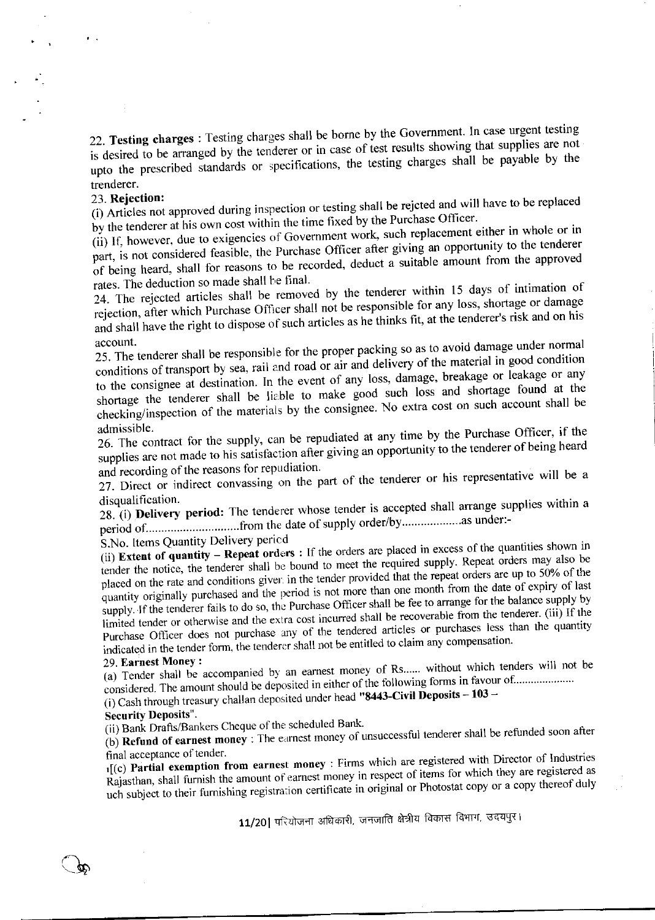22. Testing charges : Testing charges shall be borne by the Government. In case urgent testing is desired to be arranged by the tenderer or in case of test results showing that supplies are not upto the prescribed standards or specifications, the testing charges shall be payable by the trenderer.

#### 23. Rejection:

 $\alpha$  .

(i) Articles not approved during inspection or testing shall be rejeted and will have to be replaced by the tenderer at his own cost within the time fixed by the Purchase Officer.

(ii) If, however, due to exigencies of Government work, such replacement either in whole or in part, is not considered feasible, the Purchase Officer after giving an opportunity to the tenderer of being heard, shall for reasons to be recorded, deduct a suitable amount from the approved rates. The deduction so made shall be final.

24. The rejected articles shall be removed by the tenderer within 15 days of intimation of rejection, after which Purchase Officer shall not be responsible for any loss, shortage or damage and shall have the right to dispose of such articles as he thinks fit, at the tenderer's risk and on his account.

25. The tenderer shall be responsible for the proper packing so as to avoid damage under normal conditions of transport by sea, rail and road or air and delivery of the material in good condition to the consignee at destination. In the event of any loss, damage, breakage or leakage or any shortage the tenderer shall be liable to make good such loss and shortage found at the checking/inspection of the materials by the consignee. No extra cost on such account shall be admissible.

26. The contract for the supply, can be repudiated at any time by the Purchase Officer, if the supplies are not made to his satisfaction after giving an opportunity to the tenderer of being heard and recording of the reasons for repudiation.

27. Direct or indirect convassing on the part of the tenderer or his representative will be a disqualification.

28. (i) Delivery period: The tenderer whose tender is accepted shall arrange supplies within a 

S.No. Items Quantity Delivery period

(ii) Extent of quantity - Repeat orders : If the orders are placed in excess of the quantities shown in tender the notice, the tenderer shall be bound to meet the required supply. Repeat orders may also be placed on the rate and conditions given in the tender provided that the repeat orders are up to 50% of the quantity originally purchased and the period is not more than one month from the date of expiry of last supply. If the tenderer fails to do so, the Purchase Officer shall be fee to arrange for the balance supply by limited tender or otherwise and the extra cost incurred shall be recoverable from the tenderer. (iii) If the Purchase Officer does not purchase any of the tendered articles or purchases less than the quantity indicated in the tender form, the tenderer shall not be entitled to claim any compensation.

### 29 Earnest Money:

(a) Tender shall be accompanied by an earnest money of Rs...... without which tenders will not be considered. The amount should be deposited in either of the following forms in favour of.....................

(i) Cash through treasury challan deposited under head "8443-Civil Deposits -  $103 -$ 

### **Security Deposits"**

(ii) Bank Drafts/Bankers Cheque of the scheduled Bank.

(b) Refund of earnest money : The earnest money of unsuccessful tenderer shall be refunded soon after final acceptance of tender.

1[(c) Partial exemption from earnest money : Firms which are registered with Director of Industries Rajasthan, shall furnish the amount of earnest money in respect of items for which they are registered as uch subject to their furnishing registration certificate in original or Photostat copy or a copy thereof duly

11/20| परियोजना अधिकारी, जनजाति क्षेत्रीय विकास विभाग, उदयपुर।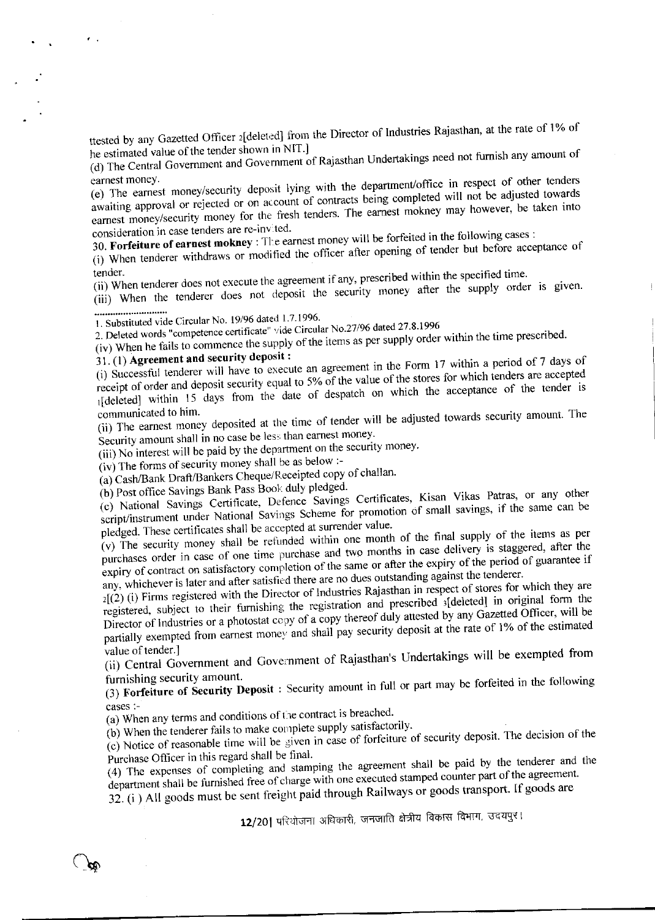ttested by any Gazetted Officer 2[deleted] from the Director of Industries Rajasthan, at the rate of 1% of he estimated value of the tender shown in NIT.]

(d) The Central Government and Government of Rajasthan Undertakings need not furnish any amount of earnest money.

(e) The earnest money/security deposit lying with the department/office in respect of other tenders awaiting approval or rejected or on account of contracts being completed will not be adjusted towards earnest money/security money for the fresh tenders. The earnest mokney may however, be taken into consideration in case tenders are re-invited.

30. Forfeiture of earnest mokney : The earnest money will be forfeited in the following cases :

(i) When tenderer withdraws or modified the officer after opening of tender but before acceptance of

tender. (ii) When tenderer does not execute the agreement if any, prescribed within the specified time.

(iii) When the tenderer does not deposit the security money after the supply order is given.

1. Substituted vide Circular No. 19/96 dated 1.7.1996.

2. Deleted words "competence certificate" vide Circular No.27/96 dated 27.8.1996 (iv) When he fails to commence the supply of the items as per supply order within the time prescribed.

# 31. (1) Agreement and security deposit:

 $\mathcal{F}^{\pm}$  .

(i) Successful tenderer will have to execute an agreement in the Form 17 within a period of 7 days of receipt of order and deposit security equal to 5% of the value of the stores for which tenders are accepted 1[deleted] within 15 days from the date of despatch on which the acceptance of the tender is

communicated to him. (ii) The earnest money deposited at the time of tender will be adjusted towards security amount. The Security amount shall in no case be less than earnest money.

(iii) No interest will be paid by the department on the security money.

 $(iv)$  The forms of security money shall be as below :-

(a) Cash/Bank Draft/Bankers Cheque/Receipted copy of challan.

(b) Post office Savings Bank Pass Book duly pledged.

(c) National Savings Certificate, Defence Savings Certificates, Kisan Vikas Patras, or any other script/instrument under National Savings Scheme for promotion of small savings, if the same can be pledged. These certificates shall be accepted at surrender value.

(v) The security money shall be refunded within one month of the final supply of the items as per purchases order in case of one time purchase and two months in case delivery is staggered, after the expiry of contract on satisfactory completion of the same or after the expiry of the period of guarantee if any, whichever is later and after satisfied there are no dues outstanding against the tenderer.

 $2[(2)(i)$  Firms registered with the Director of Industries Rajasthan in respect of stores for which they are registered, subject to their furnishing the registration and prescribed s[deleted] in original form the Director of Industries or a photostat copy of a copy thereof duly attested by any Gazetted Officer, will be partially exempted from earnest money and shall pay security deposit at the rate of 1% of the estimated

value of tender.] (ii) Central Government and Government of Rajasthan's Undertakings will be exempted from furnishing security amount.

(3) Forfeiture of Security Deposit : Security amount in full or part may be forfeited in the following cases :-

(a) When any terms and conditions of the contract is breached.

(b) When the tenderer fails to make complete supply satisfactorily.

 $(c)$  Notice of reasonable time will be given in case of forfeiture of security deposit. The decision of the Purchase Officer in this regard shall be final.

(4) The expenses of completing and stamping the agreement shall be paid by the tenderer and the department shall be furnished free of charge with one executed stamped counter part of the agreement.

32. (i) All goods must be sent freight paid through Railways or goods transport. If goods are

12/20 परियोजना अधिकारी, जनजाति क्षेत्रीय विकास विभाग, उदयपुर।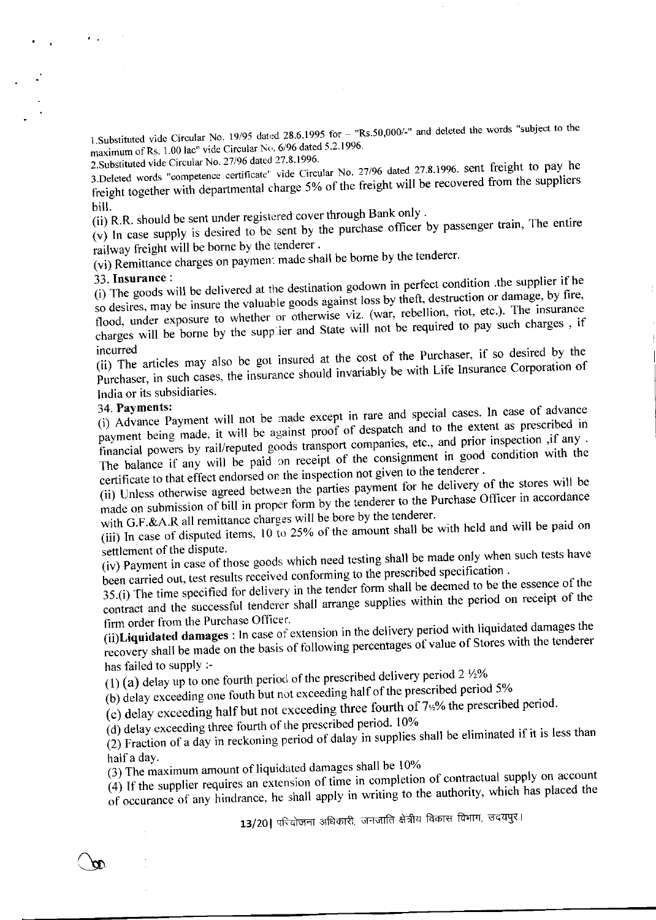1.Substituted vide Circular No. 19/95 dated 28.6.1995 for - "Rs.50,000/-" and deleted the words "subject to the maximum of Rs. 1.00 lac" vide Circular No. 6/96 dated 5.2.1996.

2. Substituted vide Circular No. 27/96 dated 27.8.1996.

3.Deleted words "competence certificate" vide Circular No. 27/96 dated 27.8.1996. sent freight to pay he freight together with departmental charge 5% of the freight will be recovered from the suppliers bill.

(ii) R.R. should be sent under registered cover through Bank only.

 $(v)$  In case supply is desired to be sent by the purchase officer by passenger train, The entire railway freight will be borne by the tenderer.

(vi) Remittance charges on payment made shall be borne by the tenderer.

### 33. Insurance:

 $\mathcal{A}=\mathcal{A}$  .

(i) The goods will be delivered at the destination godown in perfect condition .the supplier if he so desires, may be insure the valuable goods against loss by theft, destruction or damage, by fire, flood, under exposure to whether or otherwise viz. (war, rebellion, riot, etc.). The insurance charges will be borne by the supplier and State will not be required to pay such charges, if

(ii) The articles may also be got insured at the cost of the Purchaser, if so desired by the Purchaser, in such cases, the insurance should invariably be with Life Insurance Corporation of India or its subsidiaries.

### 34. Payments:

(i) Advance Payment will not be made except in rare and special cases. In case of advance payment being made, it will be against proof of despatch and to the extent as prescribed in financial powers by rail/reputed goods transport companies, etc., and prior inspection ,if any . The balance if any will be paid on receipt of the consignment in good condition with the certificate to that effect endorsed on the inspection not given to the tenderer.

(ii) Unless otherwise agreed between the parties payment for he delivery of the stores will be made on submission of bill in proper form by the tenderer to the Purchase Officer in accordance with G.F.&A.R all remittance charges will be bore by the tenderer.

(iii) In case of disputed items, 10 to 25% of the amount shall be with held and will be paid on settlement of the dispute.

(iv) Payment in case of those goods which need testing shall be made only when such tests have been carried out, test results received conforming to the prescribed specification.

35.(i) The time specified for delivery in the tender form shall be deemed to be the essence of the contract and the successful tenderer shall arrange supplies within the period on receipt of the firm order from the Purchase Officer.

(ii)Liquidated damages : ln case of extension in the delivery period with liquidated damages the recovery shall be made on the basis of following percentages of value of Stores with the tenderer has failed to supply :-

(1) (a) delay up to one fourth period of the prescribed delivery period  $2\frac{1}{2}\%$ 

(b) delay exceeding one fouth but not exceeding half of the prescribed period 5%

(c) delay exceeding half but not exceeding three fourth of 7<sup>12</sup>% the prescribed period.

(d) delay exceeding three fourth of the prescribed period. 10%

(2) Fraction of a day in reckoning period of dalay in supplies shall be eliminated if it is less than half a day.

(3) The maximum amount of liquidated damages shall be 10%

 $(4)$  If the supplier requires an extension of time in completion of contractual supply on account of occurance of any hindrance, he shall apply in writing to the authority, which has placed the

13/20 | परियोजना अधिकारी, जनजाति क्षेत्रीय विकास विभाग, उदयपुर।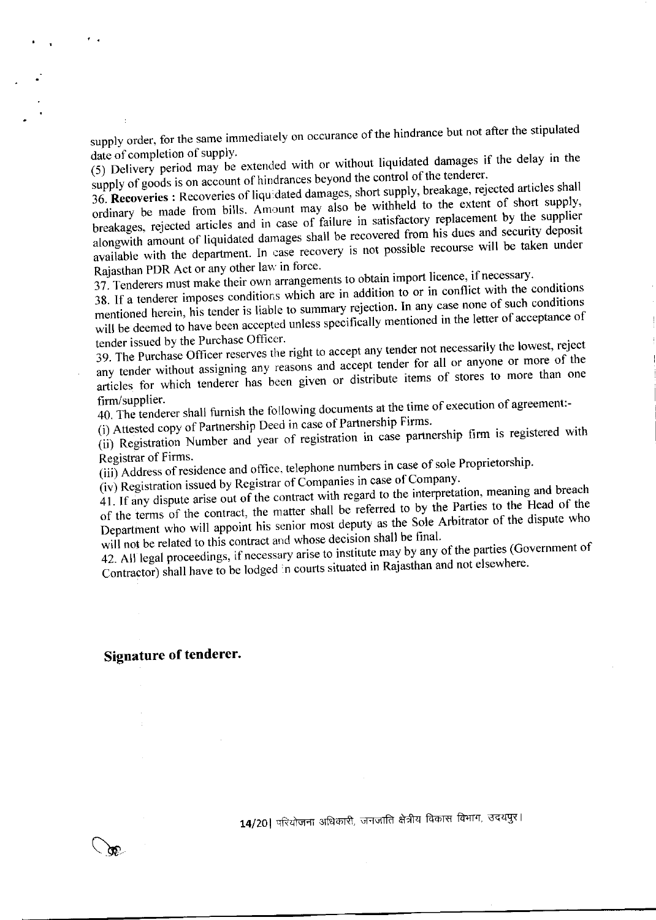supply order, for the same immediately on occurance of the hindrance but not after the stipulated date of completion of supply.

(5) Delivery period may be extended with or without liquidated damages if the delay in the supply of goods is on account of hindrances beyond the control of the tenderer.

36. Recoveries : Recoveries of liquidated damages, short supply, breakage, rejected articles shall ordinary be made from bills. Amount may also be withheld to the extent of short supply, breakages, rejected articles and in case of failure in satisfactory replacement by the supplier alongwith amount of liquidated damages shall be recovered from his dues and security deposit available with the department. In case recovery is not possible recourse will be taken under Rajasthan PDR Act or any other law in force.

37. Tenderers must make their own arrangements to obtain import licence, if necessary.

38. If a tenderer imposes conditions which are in addition to or in conflict with the conditions mentioned herein, his tender is liable to summary rejection. In any case none of such conditions will be deemed to have been accepted unless specifically mentioned in the letter of acceptance of tender issued by the Purchase Officer.

39. The Purchase Officer reserves the right to accept any tender not necessarily the lowest, reject any tender without assigning any reasons and accept tender for all or anyone or more of the articles for which tenderer has been given or distribute items of stores to more than one firm/supplier.

40. The tenderer shall furnish the following documents at the time of execution of agreement:-

(i) Attested copy of Partnership Deed in case of Partnership Firms.

(ii) Registration Number and year of registration in case partnership firm is registered with Registrar of Firms.

(iii) Address of residence and office, telephone numbers in case of sole Proprietorship.

(iv) Registration issued by Registrar of Companies in case of Company.

41. If any dispute arise out of the contract with regard to the interpretation, meaning and breach of the terms of the contract, the matter shall be referred to by the Parties to the Head of the Department who will appoint his senior most deputy as the Sole Arbitrator of the dispute who will not be related to this contract and whose decision shall be final.

42. All legal proceedings, if necessary arise to institute may by any of the parties (Government of Contractor) shall have to be lodged in courts situated in Rajasthan and not elsewhere.

#### **Signature of tenderer.**

 $\mathcal{F}^{\mathcal{A}}$  .

14/20 परियोजना अधिकारी, जनजाति क्षेत्रीय विकास विभाग, उदयपुर।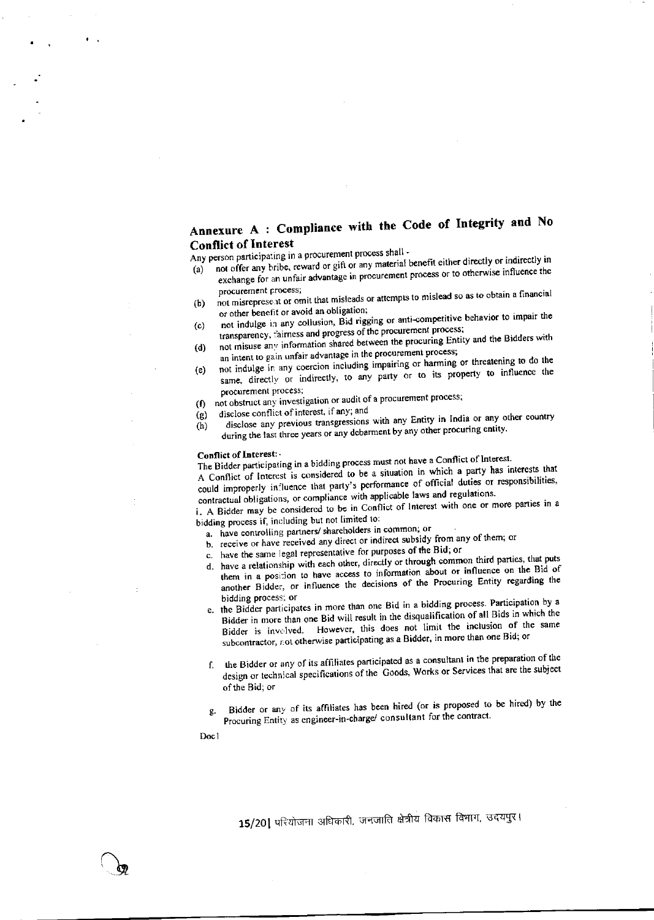# Annexure A : Compliance with the Code of Integrity and No **Conflict of Interest**

Any person participating in a procurement process shall -

- not offer any bribe, reward or gift or any material benefit either directly or indirectly in exchange for an unfair advantage in procurement process or to otherwise influence the  $(a)$ procurement process;
- not misreprese at or omit that misleads or attempts to mislead so as to obtain a financial  $(b)$ or other benefit or avoid an obligation;
- not indulge in any collusion, Bid rigging or anti-competitive behavior to impair the  $(c)$ transparency, fairness and progress of the procurement process;
- not misuse any information shared between the procuring Entity and the Bidders with  $(d)$ an intent to gain unfair advantage in the procurement process;
- not indulge in any coercion including impairing or harming or threatening to do the same, directly or indirectly, to any party or to its property to influence the  $(e)$ procurement process;
- not obstruct any investigation or audit of a procurement process;  $($ f)  $\overline{)}$
- disclose conflict of interest, if any, and  $(g)$
- disclose any previous transgressions with any Entity in India or any other country during the last three years or any debarment by any other procuring entity.  $(h)$

#### Conflict of Interest:

The Bidder participating in a bidding process must not have a Conflict of Interest. A Conflict of Interest is considered to be a situation in which a party has interests that

could improperly influence that party's performance of official duties or responsibilities, contractual obligations, or compliance with applicable laws and regulations.

i. A Bidder may be considered to be in Conflict of Interest with one or more parties in a bidding process if, including but not limited to:

a. have controlling partners/ shareholders in common; or

- b. receive or have received any direct or indirect subsidy from any of them; or
- c. have the same legal representative for purposes of the Bid; or
- d. have a relationship with each other, directly or through common third parties, that puts
- them in a position to have access to information about or influence on the Bid of another Bidder, or influence the decisions of the Procuring Entity regarding the bidding process; or
- e. the Bidder participates in more than one Bid in a bidding process. Participation by a Bidder in more than one Bid will result in the disqualification of all Bids in which the Bidder is involved. However, this does not limit the inclusion of the same subcontractor, not otherwise participating as a Bidder, in more than one Bid; or
- f. the Bidder or any of its affiliates participated as a consultant in the preparation of the design or technical specifications of the Goods, Works or Services that are the subject of the Bid; or
- Bidder or any of its affiliates has been hired (or is proposed to be hired) by the g. Procuring Entity as engineer-in-charge/ consultant for the contract.

Doc1

15/20] परियोजना अधिकारी, जनजाति क्षेत्रीय विकास विभाग, उदयपुर।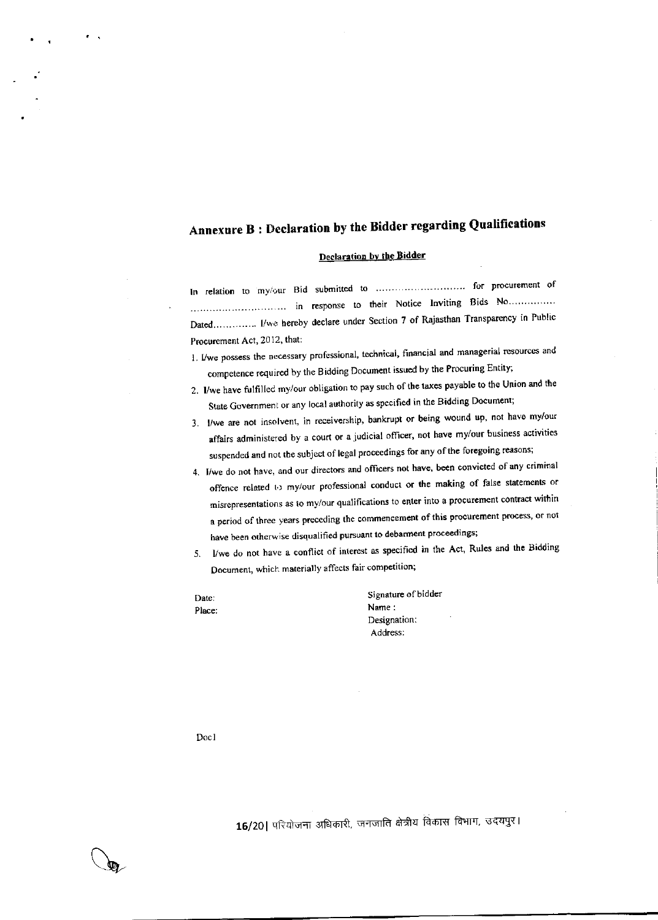# Annexure B: Declaration by the Bidder regarding Qualifications

### Declaration by the Bidder

In relation to my/our Bid submitted to ................................. for procurement of Dated.............. I/we hereby declare under Section 7 of Rajasthan Transparency in Public Procurement Act, 2012, that:

- 1. I/we possess the necessary professional, technical, financial and managerial resources and competence required by the Bidding Document issued by the Procuring Entity;
- 2. I/we have fulfilled my/our obligation to pay such of the taxes payable to the Union and the State Government or any local authority as specified in the Bidding Document;
- 3. I/we are not insolvent, in receivership, bankrupt or being wound up, not have my/our affairs administered by a court or a judicial officer, not have my/our business activities suspended and not the subject of legal proceedings for any of the foregoing reasons;
- 4. I/we do not have, and our directors and officers not have, been convicted of any criminal offence related to my/our professional conduct or the making of false statements or misrepresentations as to my/our qualifications to enter into a procurement contract within a period of three years preceding the commencement of this procurement process, or not have been otherwise disqualified pursuant to debarment proceedings;
- I/we do not have a conflict of interest as specified in the Act, Rules and the Bidding 5. Document, which materially affects fair competition;

Date: Place: Signature of bidder Name: Designation: Address:

Doc1

 $\Phi$ 

16/20 परियोजना अधिकारी, जनजाति क्षेत्रीय विकास विभाग, उदयपुर।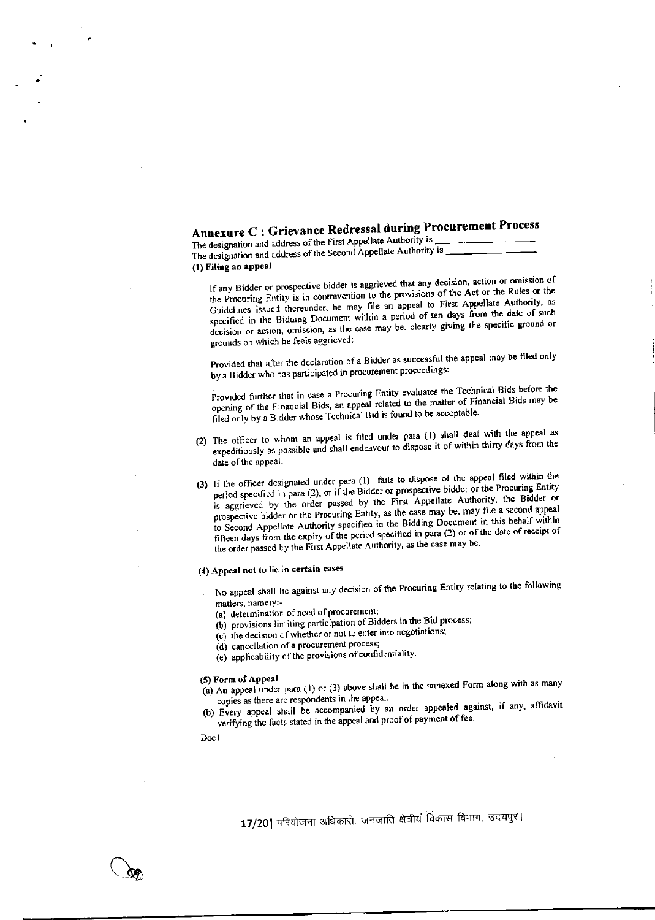# Annexure C : Grievance Redressal during Procurement Process

The designation and address of the First Appellate Authority is The designation and address of the Second Appellate Authority is (1) Filing an appeal

If any Bidder or prospective bidder is aggrieved that any decision, action or omission of the Procuring Entity is in contravention to the provisions of the Act or the Rules or the Guidelines issue t thereunder, he may file an appeal to First Appellate Authority, as specified in the Bidding Document within a period of ten days from the date of such decision or action, omission, as the case may be, clearly giving the specific ground or grounds on which he feels aggrieved:

Provided that after the declaration of a Bidder as successful the appeal may be filed only by a Bidder who has participated in procurement proceedings:

Provided further that in case a Procuring Entity evaluates the Technical Bids before the opening of the Financial Bids, an appeal related to the matter of Financial Bids may be filed only by a Bidder whose Technical Bid is found to be acceptable.

- (2) The officer to whom an appeal is filed under para (1) shall deal with the appeal as expeditiously as possible and shall endeavour to dispose it of within thirty days from the date of the appeal.
- (3) If the officer designated under para (1) fails to dispose of the appeal filed within the period specified in para (2), or if the Bidder or prospective bidder or the Procuring Entity is aggrieved by the order passed by the First Appellate Authority, the Bidder or prospective bidder or the Procuring Entity, as the case may be, may file a second appeal to Second Appellate Authority specified in the Bidding Document in this behalf within fifteen days from the expiry of the period specified in para (2) or of the date of receipt of the order passed by the First Appellate Authority, as the case may be.

#### (4) Appeal not to lie in certain cases

- No appeal shall lie against any decision of the Procuring Entity relating to the following matters, namely:-
	- (a) determination of need of procurement;
	- (b) provisions limiting participation of Bidders in the Bid process;
	- (c) the decision of whether or not to enter into negotiations;
	- (d) cancellation of a procurement process;
	- (e) applicability of the provisions of confidentiality.

#### (5) Form of Appeal

- $(a)$  An appeal under para (1) or (3) above shall be in the annexed Form along with as many copies as there are respondents in the appeal.
- (b) Every appeal shall be accompanied by an order appealed against, if any, affidavit verifying the facts stated in the appeal and proof of payment of fee.

Docl

17/20| परियोजना अधिकारी, जनजाति क्षेत्रीयं विकास विभाग, उदयपुर।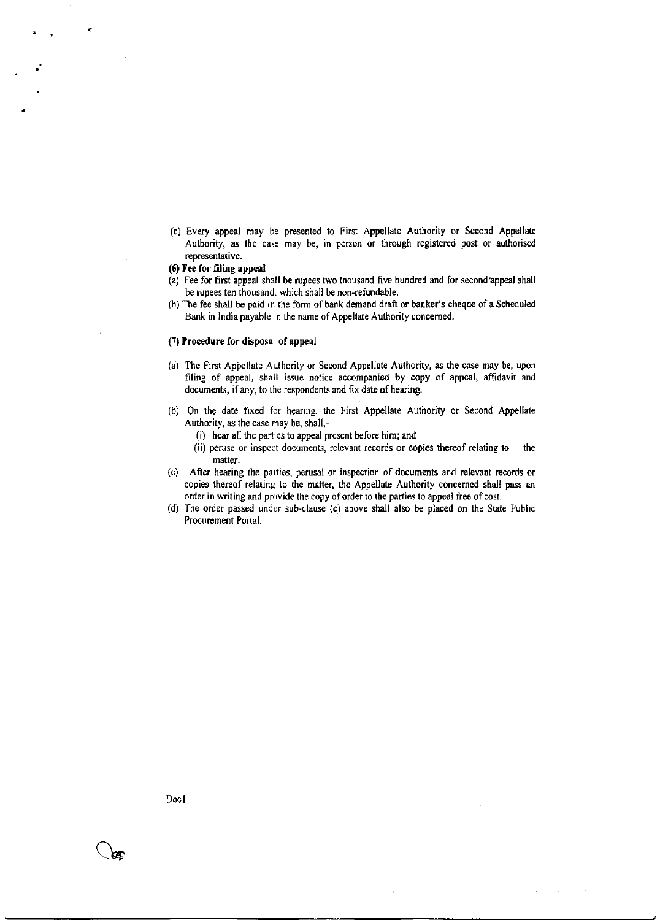(c) Every appeal may be presented to First Appellate Authority or Second Appllate Authority, as the case may be, in person or through registered post or authorised representative.

#### (Q Fee for filing appeal

- (a) Fee for first appeal shall be rupees two thousand five hundred and for second appeal shall be rupees ten thousand. which shall be non-refundable.
- (b) The fee shall be paid in the form of bank demand draft or banker's cheque of a Scheduled Bank in India payable in the name of Appellate Authority concerned.

#### $(7)$  Procedure for disposal of appeal

- (a) The First Appellate Authority or Second Appellate Authority, as the case may be, upon filing of appeal, shall issue notice accompanied by copy of appeal, affidavit and documents, if any, to the respondents and fix date of hearing.
- (b) On the date fixed for hearing, the First Appellate Authority or Second Appellate Authority, as the case may be, shall,-
	- (i) hear all the parl.es to appeal present before him; and
	- (ii) peruse or inspect documents, relevant records or copies thereof relating to the matter.
- (c) After hearing the parties, perusal or inspection of documents and relevant records or copies thereof relating to the matter, the Appellate Authority concerned shall pass an order in writing and provide the copy of order to the parties to appeal free of cost.
- (d) The order passed under sub-clause (c) above shall also be placed on the State Public Procurement Portal.

Doc I